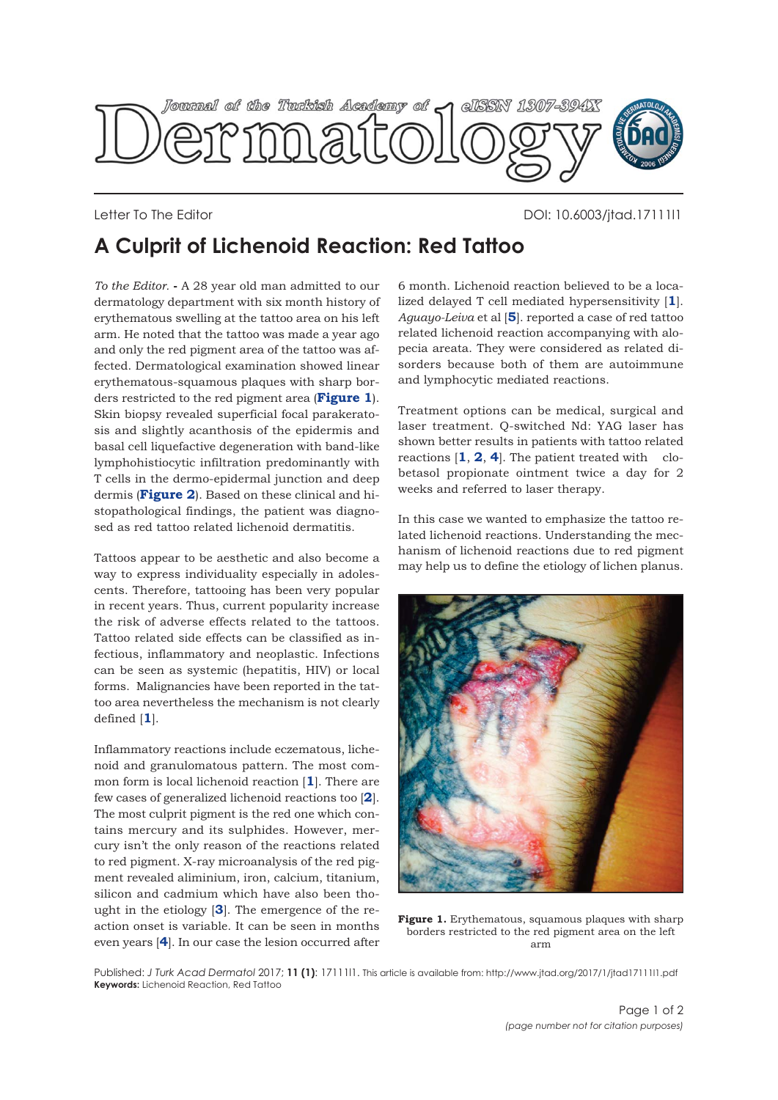

Letter To The Editor DOI: 10.6003/jtad.17111l1

## **A Culprit of Lichenoid Reaction: Red Tattoo**

*To the Editor.* **-** A 28 year old man admitted to our dermatology department with six month history of erythematous swelling at the tattoo area on his left arm. He noted that the tattoo was made a year ago and only the red pigment area of the tattoo was affected. Dermatological examination showed linear erythematous-squamous plaques with sharp borders restricted to the red pigment area (**Figure 1**). Skin biopsy revealed superficial focal parakeratosis and slightly acanthosis of the epidermis and basal cell liquefactive degeneration with band-like lymphohistiocytic infiltration predominantly with T cells in the dermo-epidermal junction and deep dermis (**[Figure 2](#page-1-0)**). Based on these clinical and histopathological findings, the patient was diagnosed as red tattoo related lichenoid dermatitis.

Tattoos appear to be aesthetic and also become a way to express individuality especially in adolescents. Therefore, tattooing has been very popular in recent years. Thus, current popularity increase the risk of adverse effects related to the tattoos. Tattoo related side effects can be classified as infectious, inflammatory and neoplastic. Infections can be seen as systemic (hepatitis, HIV) or local forms. Malignancies have been reported in the tattoo area nevertheless the mechanism is not clearly defined [**[1](#page-1-0)**].

Inflammatory reactions include eczematous, lichenoid and granulomatous pattern. The most common form is local lichenoid reaction [**[1](#page-1-0)**]. There are few cases of generalized lichenoid reactions too [**[2](#page-1-0)**]. The most culprit pigment is the red one which contains mercury and its sulphides. However, mercury isn't the only reason of the reactions related to red pigment. X-ray microanalysis of the red pigment revealed aliminium, iron, calcium, titanium, silicon and cadmium which have also been thought in the etiology [**[3](#page-1-0)**]. The emergence of the reaction onset is variable. It can be seen in months even years [**[4](#page-1-0)**]. In our case the lesion occurred after

6 month. Lichenoid reaction believed to be a localized delayed T cell mediated hypersensitivity [**[1](#page-1-0)**]. *Aguayo-Leiva* et al [**[5](#page-1-0)**]. reported a case of red tattoo related lichenoid reaction accompanying with alopecia areata. They were considered as related disorders because both of them are autoimmune and lymphocytic mediated reactions.

Treatment options can be medical, surgical and laser treatment. Q-switched Nd: YAG laser has shown better results in patients with tattoo related reactions [**[1](#page-1-0)**, **[2](#page-1-0)**, **[4](#page-1-0)**]. The patient treated with clobetasol propionate ointment twice a day for 2 weeks and referred to laser therapy.

In this case we wanted to emphasize the tattoo related lichenoid reactions. Understanding the mechanism of lichenoid reactions due to red pigment may help us to define the etiology of lichen planus.



**Figure 1.** Erythematous, squamous plaques with sharp borders restricted to the red pigment area on the left arm

Published: *J Turk Acad Dermatol* 2017; **11 (1)**: 17111l1. This article is available from: http://www.jtad.org/2017/1/jtad17111l1.pdf **Keywords:** Lichenoid Reaction, Red Tattoo